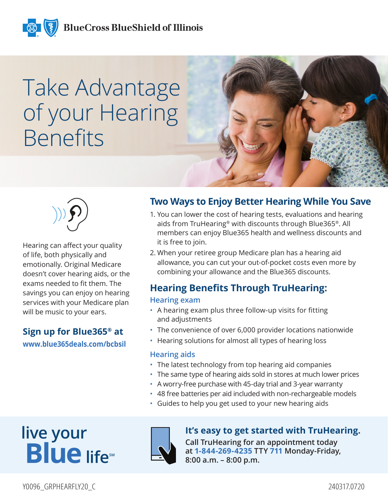

# Take Advantage of your Hearing Benefits





Hearing can affect your quality of life, both physically and emotionally. Original Medicare doesn't cover hearing aids, or the exams needed to fit them. The savings you can enjoy on hearing services with your Medicare plan will be music to your ears.

#### **Sign up for Blue365® at www.blue365deals.com/bcbsil**

#### **Two Ways to Enjoy Better Hearing While You Save**

- 1. You can lower the cost of hearing tests, evaluations and hearing aids from TruHearing® with discounts through Blue365®. All members can enjoy Blue365 health and wellness discounts and it is free to join.
- 2. When your retiree group Medicare plan has a hearing aid allowance, you can cut your out-of-pocket costs even more by combining your allowance and the Blue365 discounts.

### **Hearing Benefits Through TruHearing:**

#### **Hearing exam**

- A hearing exam plus three follow-up visits for fitting and adjustments
- The convenience of over 6,000 provider locations nationwide
- Hearing solutions for almost all types of hearing loss

#### **Hearing aids**

- The latest technology from top hearing aid companies
- The same type of hearing aids sold in stores at much lower prices
- A worry-free purchase with 45-day trial and 3-year warranty
- 48 free batteries per aid included with non-rechargeable models
- Guides to help you get used to your new hearing aids

## **live your Blue** lifes



#### **It's easy to get started with TruHearing.**

**Call TruHearing for an appointment today at 1-844-269-4235 TTY 711 Monday-Friday, 8:00 a.m. – 8:00 p.m.**